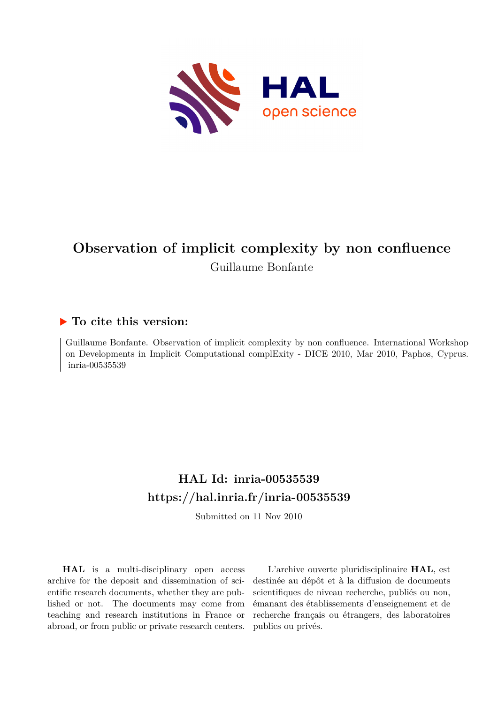

# **Observation of implicit complexity by non confluence** Guillaume Bonfante

# **To cite this version:**

Guillaume Bonfante. Observation of implicit complexity by non confluence. International Workshop on Developments in Implicit Computational complExity - DICE 2010, Mar 2010, Paphos, Cyprus. inria-00535539

# **HAL Id: inria-00535539 <https://hal.inria.fr/inria-00535539>**

Submitted on 11 Nov 2010

**HAL** is a multi-disciplinary open access archive for the deposit and dissemination of scientific research documents, whether they are published or not. The documents may come from teaching and research institutions in France or abroad, or from public or private research centers.

L'archive ouverte pluridisciplinaire **HAL**, est destinée au dépôt et à la diffusion de documents scientifiques de niveau recherche, publiés ou non, émanant des établissements d'enseignement et de recherche français ou étrangers, des laboratoires publics ou privés.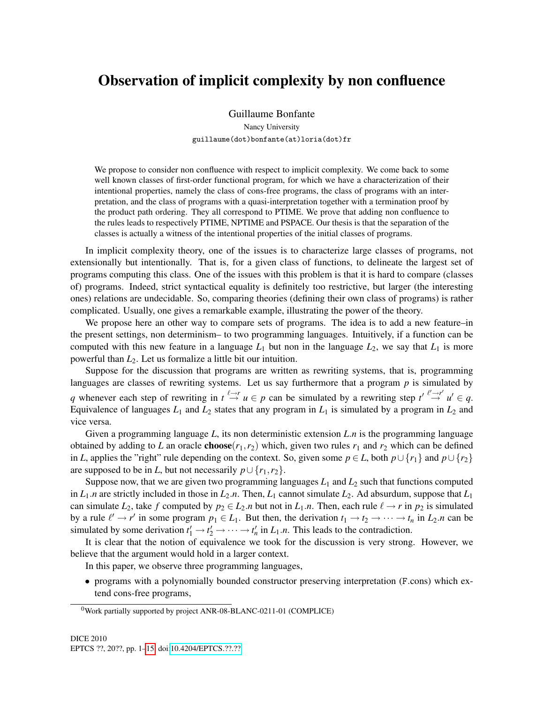# Observation of implicit complexity by non confluence

Guillaume Bonfante

Nancy University guillaume(dot)bonfante(at)loria(dot)fr

We propose to consider non confluence with respect to implicit complexity. We come back to some well known classes of first-order functional program, for which we have a characterization of their intentional properties, namely the class of cons-free programs, the class of programs with an interpretation, and the class of programs with a quasi-interpretation together with a termination proof by the product path ordering. They all correspond to PTIME. We prove that adding non confluence to the rules leads to respectively PTIME, NPTIME and PSPACE. Our thesis is that the separation of the classes is actually a witness of the intentional properties of the initial classes of programs.

In implicit complexity theory, one of the issues is to characterize large classes of programs, not extensionally but intentionally. That is, for a given class of functions, to delineate the largest set of programs computing this class. One of the issues with this problem is that it is hard to compare (classes of) programs. Indeed, strict syntactical equality is definitely too restrictive, but larger (the interesting ones) relations are undecidable. So, comparing theories (defining their own class of programs) is rather complicated. Usually, one gives a remarkable example, illustrating the power of the theory.

We propose here an other way to compare sets of programs. The idea is to add a new feature–in the present settings, non determinism– to two programming languages. Intuitively, if a function can be computed with this new feature in a language  $L_1$  but non in the language  $L_2$ , we say that  $L_1$  is more powerful than *L*2. Let us formalize a little bit our intuition.

Suppose for the discussion that programs are written as rewriting systems, that is, programming languages are classes of rewriting systems. Let us say furthermore that a program *p* is simulated by *q* whenever each step of rewriting in  $t \stackrel{\ell \to r}{\to} u \in p$  can be simulated by a rewriting step  $t' \stackrel{\ell' \to r'}{\to} u' \in q$ . Equivalence of languages  $L_1$  and  $L_2$  states that any program in  $L_1$  is simulated by a program in  $L_2$  and vice versa.

Given a programming language *L*, its non deterministic extension *L*.*n* is the programming language obtained by adding to *L* an oracle **choose**( $r_1$ , $r_2$ ) which, given two rules  $r_1$  and  $r_2$  which can be defined in *L*, applies the "right" rule depending on the context. So, given some  $p \in L$ , both  $p \cup \{r_1\}$  and  $p \cup \{r_2\}$ are supposed to be in *L*, but not necessarily  $p \cup \{r_1, r_2\}$ .

Suppose now, that we are given two programming languages  $L_1$  and  $L_2$  such that functions computed in  $L_1$ .*n* are strictly included in those in  $L_2$ .*n*. Then,  $L_1$  cannot simulate  $L_2$ . Ad absurdum, suppose that  $L_1$ can simulate  $L_2$ , take f computed by  $p_2 \in L_2$ .*n* but not in  $L_1$ .*n*. Then, each rule  $\ell \to r$  in  $p_2$  is simulated by a rule  $\ell' \to r'$  in some program  $p_1 \in L_1$ . But then, the derivation  $t_1 \to t_2 \to \cdots \to t_n$  in  $L_2.n$  can be simulated by some derivation  $t'_1 \rightarrow t'_2 \rightarrow \cdots \rightarrow t'_n$  in  $L_1.n$ . This leads to the contradiction.

It is clear that the notion of equivalence we took for the discussion is very strong. However, we believe that the argument would hold in a larger context.

In this paper, we observe three programming languages,

• programs with a polynomially bounded constructor preserving interpretation (F.cons) which extend cons-free programs,

<sup>0</sup>Work partially supported by project ANR-08-BLANC-0211-01 (COMPLICE)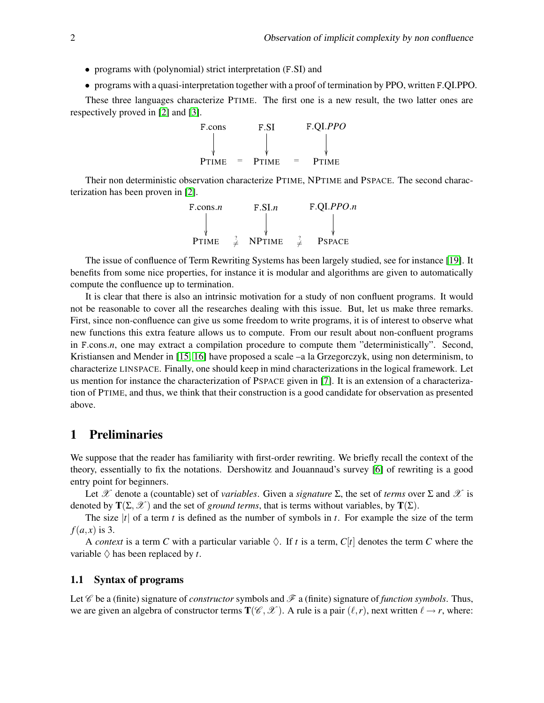- programs with (polynomial) strict interpretation (F.SI) and
- programs with a quasi-interpretation together with a proof of termination by PPO, written F.QI.PPO.

These three languages characterize PTIME. The first one is a new result, the two latter ones are respectively proved in [\[2\]](#page-15-1) and [\[3\]](#page-15-2).



Their non deterministic observation characterize PTIME, NPTIME and PSPACE. The second characterization has been proven in [\[2\]](#page-15-1).

| $F_{\rm}.cons.n$ | F.SI.n        |  | F.QI.PPO.n    |  |
|------------------|---------------|--|---------------|--|
|                  |               |  |               |  |
|                  |               |  |               |  |
| <b>PTIME</b>     | <b>NPTIME</b> |  | <b>PSPACE</b> |  |

The issue of confluence of Term Rewriting Systems has been largely studied, see for instance [\[19\]](#page-15-3). It benefits from some nice properties, for instance it is modular and algorithms are given to automatically compute the confluence up to termination.

It is clear that there is also an intrinsic motivation for a study of non confluent programs. It would not be reasonable to cover all the researches dealing with this issue. But, let us make three remarks. First, since non-confluence can give us some freedom to write programs, it is of interest to observe what new functions this extra feature allows us to compute. From our result about non-confluent programs in F.cons.*n*, one may extract a compilation procedure to compute them "deterministically". Second, Kristiansen and Mender in [\[15,](#page-15-4) [16\]](#page-15-5) have proposed a scale –a la Grzegorczyk, using non determinism, to characterize LINSPACE. Finally, one should keep in mind characterizations in the logical framework. Let us mention for instance the characterization of PSPACE given in [\[7\]](#page-15-6). It is an extension of a characterization of PTIME, and thus, we think that their construction is a good candidate for observation as presented above.

## 1 Preliminaries

We suppose that the reader has familiarity with first-order rewriting. We briefly recall the context of the theory, essentially to fix the notations. Dershowitz and Jouannaud's survey [\[6\]](#page-15-7) of rewriting is a good entry point for beginners.

Let X denote a (countable) set of *variables*. Given a *signature*  $\Sigma$ , the set of *terms* over  $\Sigma$  and X is denoted by  $T(\Sigma, \mathcal{X})$  and the set of *ground terms*, that is terms without variables, by  $T(\Sigma)$ .

The size  $|t|$  of a term *t* is defined as the number of symbols in *t*. For example the size of the term  $f(a,x)$  is 3.

A *context* is a term C with a particular variable  $\Diamond$ . If t is a term,  $C[t]$  denotes the term C where the variable  $\Diamond$  has been replaced by *t*.

#### 1.1 Syntax of programs

Let  $\mathscr C$  be a (finite) signature of *constructor* symbols and  $\mathscr F$  a (finite) signature of *function symbols*. Thus, we are given an algebra of constructor terms  $T(\mathscr{C}, \mathscr{X})$ . A rule is a pair  $(\ell, r)$ , next written  $\ell \to r$ , where: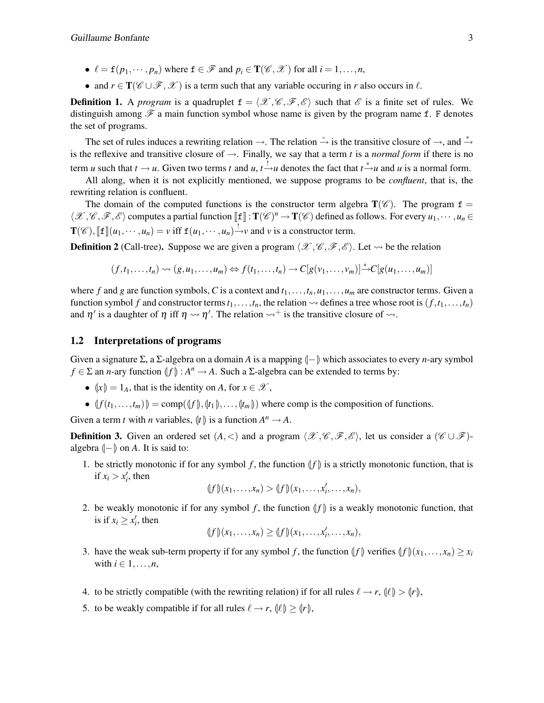- $\ell = \mathbf{f}(p_1, \dots, p_n)$  where  $\mathbf{f} \in \mathcal{F}$  and  $p_i \in \mathbf{T}(\mathcal{C}, \mathcal{X})$  for all  $i = 1, \dots, n$ ,
- and  $r \in \mathbf{T}(\mathscr{C} \cup \mathscr{F}, \mathscr{X})$  is a term such that any variable occuring in *r* also occurs in  $\ell$ .

**Definition 1.** A *program* is a quadruplet  $f = \langle \mathcal{X}, \mathcal{C}, \mathcal{F}, \mathcal{E} \rangle$  such that  $\mathcal{E}$  is a finite set of rules. We distinguish among  $\mathscr F$  a main function symbol whose name is given by the program name f. F denotes the set of programs.

The set of rules induces a rewriting relation  $\rightarrow$ . The relation  $\stackrel{+}{\rightarrow}$  is the transitive closure of  $\rightarrow$ , and  $\stackrel{*}{\rightarrow}$ is the reflexive and transitive closure of  $\rightarrow$ . Finally, we say that a term *t* is a *normal form* if there is no term *u* such that  $t \to u$ . Given two terms *t* and *u*,  $t \stackrel{!}{\to} u$  denotes the fact that  $t \stackrel{*}{\to} u$  and *u* is a normal form.

All along, when it is not explicitly mentioned, we suppose programs to be *confluent*, that is, the rewriting relation is confluent.

The domain of the computed functions is the constructor term algebra  $T(\mathscr{C})$ . The program  $f =$  $\langle \mathcal{X}, \mathcal{C}, \mathcal{F}, \mathcal{E} \rangle$  computes a partial function  $[\![\mathbf{f}]\!] : \mathbf{T}(\mathcal{C})^n \to \mathbf{T}(\mathcal{C})$  defined as follows. For every  $u_1, \dots, u_n \in$  $\mathbf{T}(\mathscr{C}), \llbracket \mathbf{f} \rrbracket(u_1,\cdots,u_n) = v \text{ iff } \mathbf{f}(u_1,\cdots,u_n) \xrightarrow{l} v \text{ and } v \text{ is a constructor term.}$ 

**Definition 2** (Call-tree). Suppose we are given a program  $\langle \mathcal{X}, \mathcal{C}, \mathcal{F}, \mathcal{E} \rangle$ . Let  $\sim$  be the relation

$$
(f,t_1,\ldots,t_n)\rightsquigarrow (g,u_1,\ldots,u_m)\Leftrightarrow f(t_1,\ldots,t_n)\rightarrow C[g(v_1,\ldots,v_m)]\rightarrow C[g(u_1,\ldots,u_m)]
$$

where f and g are function symbols, C is a context and  $t_1, \ldots, t_n, u_1, \ldots, u_m$  are constructor terms. Given a function symbol *f* and constructor terms  $t_1, \ldots, t_n$ , the relation  $\rightsquigarrow$  defines a tree whose root is  $(f, t_1, \ldots, t_n)$ and  $\eta'$  is a daughter of  $\eta$  iff  $\eta \leadsto \eta'$ . The relation  $\leadsto^+$  is the transitive closure of  $\leadsto$ .

#### 1.2 Interpretations of programs

Given a signature  $\Sigma$ , a  $\Sigma$ -algebra on a domain *A* is a mapping  $\llbracket - \rrbracket$  which associates to every *n*-ary symbol  $f \in \Sigma$  an *n*-ary function  $\langle f | f \rangle : A^n \to A$ . Such a  $\Sigma$ -algebra can be extended to terms by:

- $\langle x \rangle = 1_A$ , that is the identity on *A*, for  $x \in \mathcal{X}$ ,
- $|f(t_1,...,t_m)| = \text{comp}(|f|, |t_1|, ..., |t_m|)$  where comp is the composition of functions.

Given a term *t* with *n* variables,  $\langle t |$  is a function  $A^n \to A$ .

<span id="page-3-0"></span>**Definition 3.** Given an ordered set  $(A, <)$  and a program  $\langle \mathcal{X}, \mathcal{C}, \mathcal{F}, \mathcal{E} \rangle$ , let us consider a  $(\mathcal{C} \cup \mathcal{F})$ algebra  $\vert$ − $\vert$  on *A*. It is said to:

1. be strictly monotonic if for any symbol  $f$ , the function  $\|f\|$  is a strictly monotonic function, that is if  $x_i > x'_i$ , then

 $(f)(x_1,...,x_n) > (f)(x_1,...,x'_i,...,x_n),$ 

2. be weakly monotonic if for any symbol f, the function  $\|f\|$  is a weakly monotonic function, that is if  $x_i \geq x'_i$ , then

$$
(f)(x_1,\ldots,x_n)\geq (f)(x_1,\ldots,x'_i,\ldots,x_n),
$$

- 3. have the weak sub-term property if for any symbol *f*, the function  $|f|$  verifies  $|f|(x_1,\ldots,x_n) \geq x_i$ with  $i \in 1, \ldots, n$ ,
- 4. to be strictly compatible (with the rewriting relation) if for all rules  $\ell \rightarrow r$ ,  $\ell \ell \rightarrow r$ ,  $\ell \rightarrow r$ ,
- 5. to be weakly compatible if for all rules  $\ell \rightarrow r$ ,  $(\ell \geq r)$ ,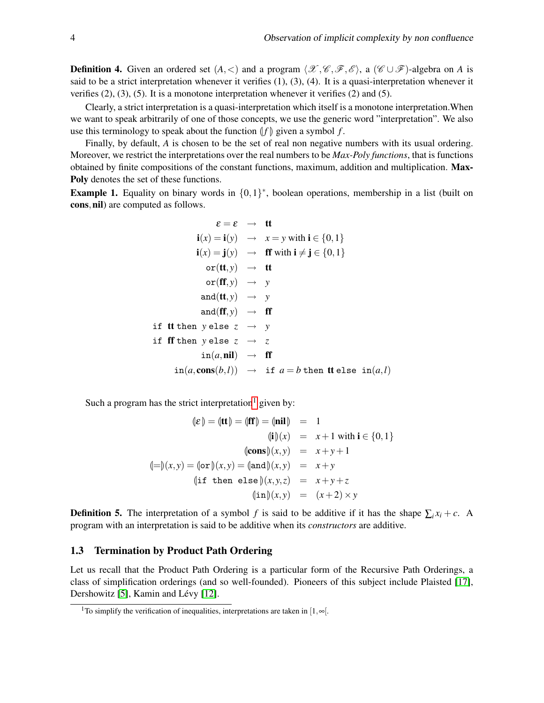**Definition 4.** Given an ordered set  $(A, \leq)$  and a program  $\langle \mathcal{X}, \mathcal{C}, \mathcal{F}, \mathcal{E} \rangle$ , a  $(\mathcal{C} \cup \mathcal{F})$ -algebra on *A* is said to be a strict interpretation whenever it verifies (1), (3), (4). It is a quasi-interpretation whenever it verifies  $(2)$ ,  $(3)$ ,  $(5)$ . It is a monotone interpretation whenever it verifies  $(2)$  and  $(5)$ .

Clearly, a strict interpretation is a quasi-interpretation which itself is a monotone interpretation.When we want to speak arbitrarily of one of those concepts, we use the generic word "interpretation". We also use this terminology to speak about the function  $|f|$  given a symbol  $f$ .

Finally, by default, *A* is chosen to be the set of real non negative numbers with its usual ordering. Moreover, we restrict the interpretations over the real numbers to be *Max-Poly functions*, that is functions obtained by finite compositions of the constant functions, maximum, addition and multiplication. Max-Poly denotes the set of these functions.

<span id="page-4-1"></span>**Example 1.** Equality on binary words in  $\{0,1\}^*$ , boolean operations, membership in a list (built on cons, nil) are computed as follows.

$$
\varepsilon = \varepsilon \rightarrow \mathbf{t} \mathbf{t}
$$
\n
$$
\mathbf{i}(x) = \mathbf{i}(y) \rightarrow x = y \text{ with } \mathbf{i} \in \{0, 1\}
$$
\n
$$
\mathbf{i}(x) = \mathbf{j}(y) \rightarrow \mathbf{f} \mathbf{f} \text{ with } \mathbf{i} \neq \mathbf{j} \in \{0, 1\}
$$
\n
$$
\text{or}(\mathbf{t} \mathbf{t}, y) \rightarrow \mathbf{t} \mathbf{t}
$$
\n
$$
\text{or}(\mathbf{f} \mathbf{f}, y) \rightarrow y
$$
\n
$$
\text{and}(\mathbf{t} \mathbf{t}, y) \rightarrow \mathbf{f} \mathbf{f}
$$
\n
$$
\mathbf{i} \mathbf{f} \mathbf{f} \mathbf{t} \text{ then } y \text{ else } z \rightarrow y
$$
\n
$$
\text{in}(\mathbf{a}, \mathbf{nil}) \rightarrow \mathbf{f} \mathbf{f}
$$
\n
$$
\text{in}(\mathbf{a}, \mathbf{con}(\mathbf{b}, l)) \rightarrow \mathbf{f} \mathbf{f}
$$
\n
$$
\text{in}(\mathbf{a}, \mathbf{con}(\mathbf{b}, l)) \rightarrow \mathbf{i} \mathbf{f} \mathbf{a} = b \text{ then } \mathbf{t} \text{ else } \text{in}(\mathbf{a}, l)
$$

Such a program has the strict interpretation<sup>[1](#page-4-0)</sup> given by:

$$
(\mathbf{E}) = (\mathbf{H}) = (\mathbf{f}\mathbf{f}) = (\mathbf{h}\mathbf{i}\mathbf{l}) = 1
$$
  
\n
$$
(\mathbf{i})(x) = x + 1 \text{ with } \mathbf{i} \in \{0, 1\}
$$
  
\n
$$
(\mathbf{cons})(x, y) = x + y + 1
$$
  
\n
$$
(\mathbf{l} =)(x, y) = (\mathbf{or})(x, y) = (\mathbf{and})(x, y) = x + y
$$
  
\n
$$
(\mathbf{i}\mathbf{f} \text{ then } \mathbf{else})(x, y, z) = x + y + z
$$
  
\n
$$
(\mathbf{in})(x, y) = (x + 2) \times y
$$

**Definition 5.** The interpretation of a symbol *f* is said to be additive if it has the shape  $\sum_i x_i + c$ . A program with an interpretation is said to be additive when its *constructors* are additive.

#### 1.3 Termination by Product Path Ordering

Let us recall that the Product Path Ordering is a particular form of the Recursive Path Orderings, a class of simplification orderings (and so well-founded). Pioneers of this subject include Plaisted [\[17\]](#page-15-8), Dershowitz [\[5\]](#page-15-9), Kamin and Lévy [\[12\]](#page-15-10).

<span id="page-4-0"></span><sup>&</sup>lt;sup>1</sup>To simplify the verification of inequalities, interpretations are taken in [1, $\infty$ [.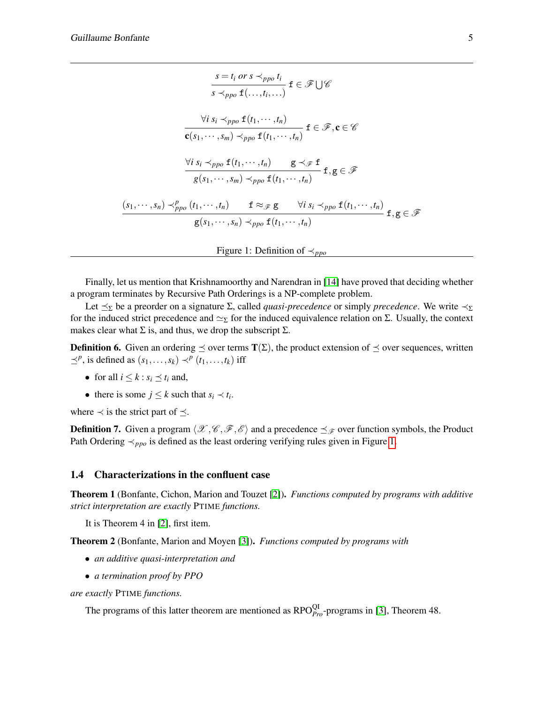$$
\frac{s = t_i \text{ or } s \prec_{ppo} t_i}{s \prec_{ppo} f(...,t_i,...)} \mathbf{f} \in \mathcal{F} \cup \mathcal{C}
$$
\n
$$
\frac{\forall i \ s_i \prec_{ppo} f(t_1,...,t_n)}{\mathbf{c}(s_1,...,s_m) \prec_{ppo} f(t_1,...,t_n)} \mathbf{f} \in \mathcal{F}, \mathbf{c} \in \mathcal{C}
$$
\n
$$
\frac{\forall i \ s_i \prec_{ppo} f(t_1,...,t_n)}{g(s_1,...,s_m) \prec_{ppo} f(t_1,...,t_n)} \mathbf{f}, \mathbf{g} \in \mathcal{F}
$$
\n
$$
\frac{(s_1,...,s_n) \prec_{ppo}^p (t_1,...,t_n)}{g(s_1,...,s_n) \prec_{ppo} f(t_1,...,t_n)} \mathbf{f}, \mathbf{g} \in \mathcal{F}
$$

<span id="page-5-0"></span>Figure 1: Definition of 
$$
\prec_{\textit{ppo}}
$$

Finally, let us mention that Krishnamoorthy and Narendran in [\[14\]](#page-15-11) have proved that deciding whether a program terminates by Recursive Path Orderings is a NP-complete problem.

Let  $\leq_{\Sigma}$  be a preorder on a signature  $\Sigma$ , called *quasi-precedence* or simply *precedence*. We write  $\prec_{\Sigma}$ for the induced strict precedence and  $\simeq_{\Sigma}$  for the induced equivalence relation on Σ. Usually, the context makes clear what  $\Sigma$  is, and thus, we drop the subscript  $\Sigma$ .

**Definition 6.** Given an ordering  $\preceq$  over terms  $T(\Sigma)$ , the product extension of  $\preceq$  over sequences, written  $\preceq^p$ , is defined as  $(s_1, \ldots, s_k) \prec^p (t_1, \ldots, t_k)$  iff

- for all  $i \leq k : s_i \leq t_i$  and,
- there is some  $j \leq k$  such that  $s_i \prec t_i$ .

where  $\prec$  is the strict part of  $\preceq$ .

**Definition 7.** Given a program  $\langle \mathcal{X}, \mathcal{C}, \mathcal{F}, \mathcal{E} \rangle$  and a precedence  $\preceq_{\mathcal{F}}$  over function symbols, the Product Path Ordering ≺<sub>*ppo*</sub> is defined as the least ordering verifying rules given in Figure [1.](#page-5-0)

#### 1.4 Characterizations in the confluent case

Theorem 1 (Bonfante, Cichon, Marion and Touzet [\[2\]](#page-15-1)). *Functions computed by programs with additive strict interpretation are exactly* PTIME *functions.*

It is Theorem 4 in [\[2\]](#page-15-1), first item.

Theorem 2 (Bonfante, Marion and Moyen [\[3\]](#page-15-2)). *Functions computed by programs with*

- *an additive quasi-interpretation and*
- *a termination proof by PPO*

*are exactly* PTIME *functions.*

The programs of this latter theorem are mentioned as  $RPO<sub>Pro</sub><sup>QI</sup>$ -programs in [\[3\]](#page-15-2), Theorem 48.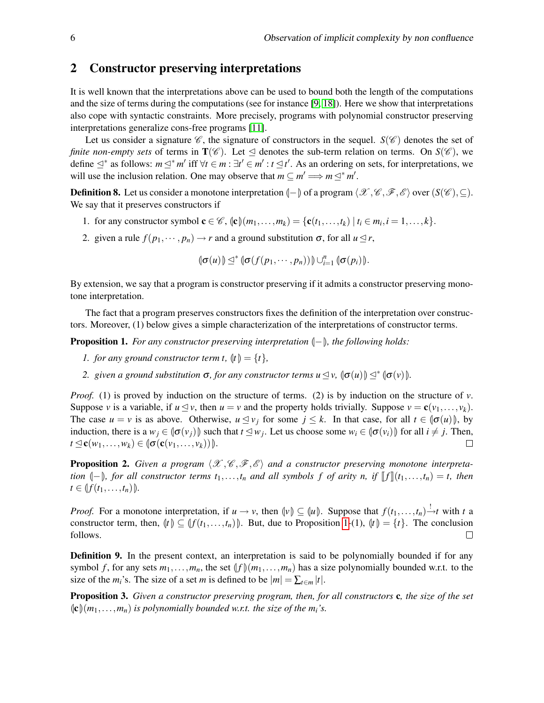### 2 Constructor preserving interpretations

It is well known that the interpretations above can be used to bound both the length of the computations and the size of terms during the computations (see for instance [\[9,](#page-15-12) [18\]](#page-15-13)). Here we show that interpretations also cope with syntactic constraints. More precisely, programs with polynomial constructor preserving interpretations generalize cons-free programs [\[11\]](#page-15-14).

Let us consider a signature  $\mathscr{C}$ , the signature of constructors in the sequel.  $S(\mathscr{C})$  denotes the set of *finite non-empty sets* of terms in  $T(\mathscr{C})$ . Let  $\triangleleft$  denotes the sub-term relation on terms. On  $S(\mathscr{C})$ , we define  $\leq^*$  as follows:  $m \leq^* m'$  iff  $\forall t \in m : \exists t' \in m' : t \leq t'$ . As an ordering on sets, for interpretations, we will use the inclusion relation. One may observe that  $m \subseteq m' \Longrightarrow m \leq^* m'$ .

<span id="page-6-1"></span>**Definition 8.** Let us consider a monotone interpretation  $\langle -\rangle$  of a program  $\langle \mathcal{X}, \mathcal{C}, \mathcal{F}, \mathcal{E} \rangle$  over  $(S(\mathcal{C}), \subseteq)$ . We say that it preserves constructors if

- 1. for any constructor symbol  $\mathbf{c} \in \mathcal{C}$ ,  $\langle \mathbf{c} \rangle (m_1, \ldots, m_k) = \{ \mathbf{c}(t_1, \ldots, t_k) \mid t_i \in m_i, i = 1, \ldots, k \}.$
- 2. given a rule  $f(p_1, \dots, p_n) \to r$  and a ground substitution  $\sigma$ , for all  $u \leq r$ ,

 $\left(\sigma(u)\right) \leq^* \left(\sigma(f(p_1, \dots, p_n))\right) \cup_{i=1}^n \left(\sigma(p_i)\right).$ 

By extension, we say that a program is constructor preserving if it admits a constructor preserving monotone interpretation.

The fact that a program preserves constructors fixes the definition of the interpretation over constructors. Moreover, (1) below gives a simple characterization of the interpretations of constructor terms.

<span id="page-6-0"></span>**Proposition 1.** *For any constructor preserving interpretation*  $\langle$ - $\rangle$ *, the following holds:* 

- *1. for any ground constructor term t,*  $\{t\} = \{t\}$ *,*
- *2. given a ground substitution*  $\sigma$ *, for any constructor terms*  $u \leq v$ ,  $\|\sigma(u)\| \leq^* \|\sigma(v)\|$ *.*

*Proof.* (1) is proved by induction on the structure of terms. (2) is by induction on the structure of *v*. Suppose *v* is a variable, if  $u \leq v$ , then  $u = v$  and the property holds trivially. Suppose  $v = c(v_1, \ldots, v_k)$ . The case  $u = v$  is as above. Otherwise,  $u \leq v_j$  for some  $j \leq k$ . In that case, for all  $t \in (\sigma(u))$ , by induction, there is a  $w_j \in (\sigma(v_j))$  such that  $t \leq w_j$ . Let us choose some  $w_i \in (\sigma(v_i))$  for all  $i \neq j$ . Then,  $t \leq \mathbf{c}(w_1,\ldots,w_k) \in [\mathbf{\sigma}(\mathbf{c}(v_1,\ldots,v_k)))]$ .  $\Box$ 

<span id="page-6-2"></span>**Proposition 2.** Given a program  $\langle \mathcal{X}, \mathcal{C}, \mathcal{F}, \mathcal{E} \rangle$  and a constructor preserving monotone interpreta*tion*  $\langle -\rangle$ *, for all constructor terms*  $t_1, \ldots, t_n$  *and all symbols f of arity n, if*  $\llbracket f \rrbracket (t_1, \ldots, t_n) = t$ , then  $t \in \{f(t_1, \ldots, t_n)\}.$ 

*Proof.* For a monotone interpretation, if  $u \to v$ , then  $\psi$   $\subseteq$   $\psi$ . Suppose that  $f(t_1,\ldots,t_n) \stackrel{!}{\to} t$  with *t* a constructor term, then,  $\langle f \rangle \subseteq \langle f(t_1,...,t_n) \rangle$ . But, due to Proposition [1-](#page-6-0)(1),  $\langle f \rangle = \{t\}$ . The conclusion follows.  $\Box$ 

**Definition 9.** In the present context, an interpretation is said to be polynomially bounded if for any symbol f, for any sets  $m_1, \ldots, m_n$ , the set  $\left(f\right)\left(m_1, \ldots, m_n\right)$  has a size polynomially bounded w.r.t. to the size of the  $m_i$ 's. The size of a set *m* is defined to be  $|m| = \sum_{t \in m} |t|$ .

Proposition 3. *Given a constructor preserving program, then, for all constructors* c*, the size of the set*  $\langle \mathbf{c} \rangle (m_1, \ldots, m_n)$  *is polynomially bounded w.r.t. the size of the m<sub><i>i*</sub>'s.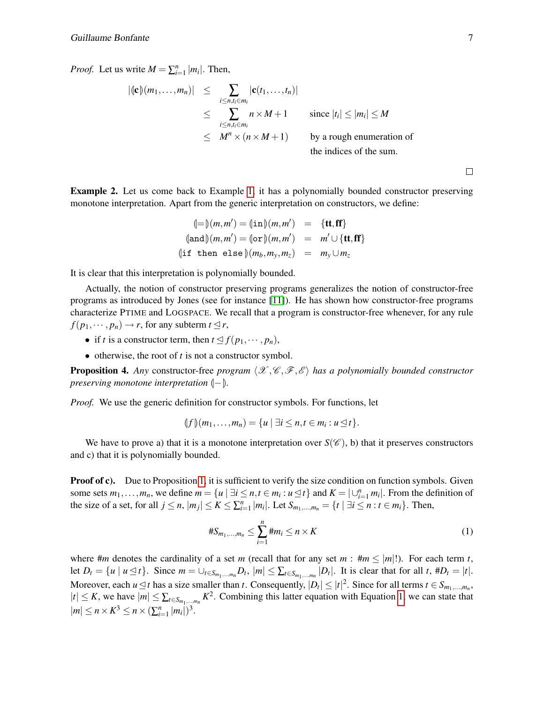*Proof.* Let us write  $M = \sum_{i=1}^{n} |m_i|$ . Then,

$$
|(\mathbf{c})(m_1,\ldots,m_n)| \leq \sum_{\substack{i \leq n, t_i \in m_i \\ i \leq n, t_i \in m_i}} |\mathbf{c}(t_1,\ldots,t_n)|
$$
  
\$\leq \sum\_{\substack{i \leq n, t\_i \in m\_i \\ \leq M^n \times (n \times M + 1)}} n \times M + 1\$ since \$|t\_i| \leq |m\_i| \leq M\$  
by a rough enumeration of the indices of the sum.

 $\Box$ 

Example 2. Let us come back to Example [1,](#page-4-1) it has a polynomially bounded constructor preserving monotone interpretation. Apart from the generic interpretation on constructors, we define:

$$
\langle = \rangle(m, m') = (\text{in}) (m, m') = \{ \text{tt}, \text{ff} \}
$$
  
\n
$$
(\text{and}) (m, m') = (\text{or}) (m, m') = m' \cup \{ \text{tt}, \text{ff} \}
$$
  
\n
$$
(\text{if then else}) (m_b, m_y, m_z) = m_y \cup m_z
$$

It is clear that this interpretation is polynomially bounded.

Actually, the notion of constructor preserving programs generalizes the notion of constructor-free programs as introduced by Jones (see for instance [\[11\]](#page-15-14)). He has shown how constructor-free programs characterize PTIME and LOGSPACE. We recall that a program is constructor-free whenever, for any rule  $f(p_1, \dots, p_n) \to r$ , for any subterm  $t \leq r$ ,

- if *t* is a constructor term, then  $t \leq f(p_1, \dots, p_n)$ ,
- otherwise, the root of *t* is not a constructor symbol.

<span id="page-7-1"></span>**Proposition 4.** Any constructor-free *program*  $\langle \mathcal{X}, \mathcal{C}, \mathcal{F}, \mathcal{E} \rangle$  *has a polynomially bounded constructor preserving monotone interpretation*  $\langle -\rangle$ *.* 

*Proof.* We use the generic definition for constructor symbols. For functions, let

 $\{f\}(m_1, \ldots, m_n) = \{u \mid \exists i \leq n, t \in m_i : u \leq t\}.$ 

We have to prove a) that it is a monotone interpretation over  $S(\mathscr{C})$ , b) that it preserves constructors and c) that it is polynomially bounded.

**Proof of c).** Due to Proposition [1,](#page-6-0) it is sufficient to verify the size condition on function symbols. Given some sets  $m_1, \ldots, m_n$ , we define  $m = \{u \mid \exists i \leq n, t \in m_i : u \leq t\}$  and  $K = \bigcup_{i=1}^n m_i\big$ . From the definition of the size of a set, for all  $j \le n$ ,  $|m_j| \le K \le \sum_{i=1}^n |m_i|$ . Let  $S_{m_1,...,m_n} = \{t \mid \exists i \le n : t \in m_i\}$ . Then,

<span id="page-7-0"></span>
$$
\#S_{m_1,...,m_n} \le \sum_{i=1}^n \#m_i \le n \times K \tag{1}
$$

where  $\#m$  denotes the cardinality of a set *m* (recall that for any set  $m : \#m \le |m|!$ ). For each term *t*, let  $D_t = \{u \mid u \le t\}$ . Since  $m = \bigcup_{t \in S_{m_1,\dots,m_n}} D_t$ ,  $|m| \le \sum_{t \in S_{m_1,\dots,m_n}} |D_t|$ . It is clear that for all t,  $#D_t = |t|$ . Moreover, each  $u \le t$  has a size smaller than *t*. Consequently,  $|D_t| \le |t|^2$ . Since for all terms  $t \in S_{m_1,...,m_n}$ ,  $|t| \leq K$ , we have  $|m| \leq \sum_{t \in S_{m_1,\dots,m_n}} K^2$ . Combining this latter equation with Equation [1,](#page-7-0) we can state that  $|m| \le n \times K^3 \le n \times (\sum_{i=1}^n |m_i|)^3$ .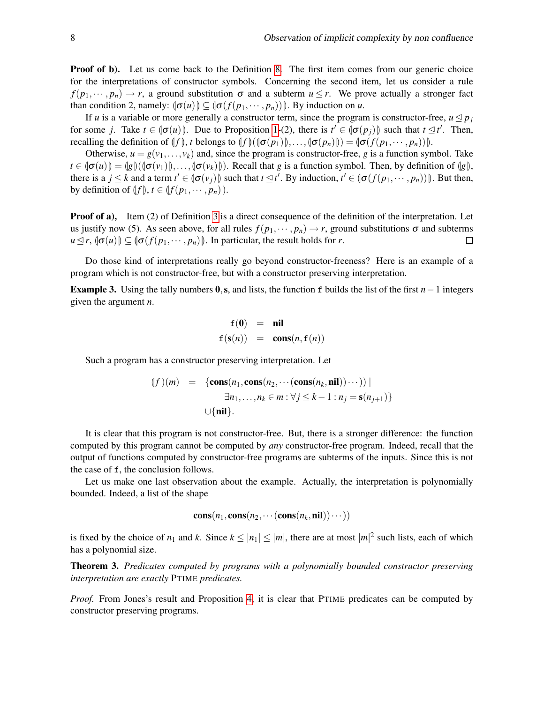**Proof of b).** Let us come back to the Definition [8.](#page-6-1) The first item comes from our generic choice for the interpretations of constructor symbols. Concerning the second item, let us consider a rule  $f(p_1,\dots,p_n) \to r$ , a ground substitution  $\sigma$  and a subterm  $u \leq r$ . We prove actually a stronger fact than condition 2, namely:  $\left(\sigma(u)\right) \subseteq \left(\sigma(f(p_1,\dots,p_n))\right)$ . By induction on *u*.

If *u* is a variable or more generally a constructor term, since the program is constructor-free,  $u \leq p_j$ for some *j*. Take  $t \in [\sigma(u)]$ . Due to Proposition [1-](#page-6-0)(2), there is  $t' \in [\sigma(p_j)]$  such that  $t \leq t'$ . Then, recalling the definition of  $\langle f \rangle$ , *t* belongs to  $\langle f \rangle$   $(\langle \sigma(p_1) \rangle, \ldots, \langle \sigma(p_n) \rangle) = \langle \sigma(f(p_1, \cdots, p_n)) \rangle$ .

Otherwise,  $u = g(v_1, \ldots, v_k)$  and, since the program is constructor-free, *g* is a function symbol. Take  $t \in \left(\sigma(u)\right) = \left(\frac{g}{\sigma(v_1)}\right), \ldots, \left(\sigma(v_k)\right).$  Recall that *g* is a function symbol. Then, by definition of  $\left(\frac{g}{g}\right),$ there is a  $j \leq k$  and a term  $t' \in (\sigma(v_j))$  such that  $t \leq t'$ . By induction,  $t' \in (\sigma(f(p_1, \dots, p_n)))$ . But then, by definition of  $(f)$ ,  $t \in \{f(p_1, \dots, p_n)\}\.$ 

**Proof of a),** Item (2) of Definition [3](#page-3-0) is a direct consequence of the definition of the interpretation. Let us justify now (5). As seen above, for all rules  $f(p_1, \dots, p_n) \to r$ , ground substitutions  $\sigma$  and subterms  $u \leq r$ ,  $\left(\sigma(u)\right) \subseteq \left(\sigma(f(p_1, \dots, p_n))\right)$ . In particular, the result holds for *r*.  $\Box$ 

Do those kind of interpretations really go beyond constructor-freeness? Here is an example of a program which is not constructor-free, but with a constructor preserving interpretation.

Example 3. Using the tally numbers 0,s, and lists, the function f builds the list of the first *n*−1 integers given the argument *n*.

$$
\begin{array}{rcl} f(0) & = & \textbf{nil} \\ f(s(n)) & = & \textbf{cons}(n, f(n)) \end{array}
$$

Such a program has a constructor preserving interpretation. Let

$$
(f)(m) = {\text{cons}(n_1, \text{cons}(n_2, \cdots(\text{cons}(n_k, \text{nil}))\cdots)) | \atop \exists n_1, \ldots, n_k \in m : \forall j \le k-1 : n_j = \textbf{s}(n_{j+1}) }
$$

$$
\cup \{\text{nil}\}.
$$

It is clear that this program is not constructor-free. But, there is a stronger difference: the function computed by this program cannot be computed by *any* constructor-free program. Indeed, recall that the output of functions computed by constructor-free programs are subterms of the inputs. Since this is not the case of f, the conclusion follows.

Let us make one last observation about the example. Actually, the interpretation is polynomially bounded. Indeed, a list of the shape

$$
\mathbf{cons}(n_1, \mathbf{cons}(n_2, \cdots(\mathbf{cons}(n_k, \mathbf{nil}))\cdots))
$$

is fixed by the choice of  $n_1$  and k. Since  $k \leq |n_1| \leq |m|$ , there are at most  $|m|^2$  such lists, each of which has a polynomial size.

<span id="page-8-0"></span>Theorem 3. *Predicates computed by programs with a polynomially bounded constructor preserving interpretation are exactly* PTIME *predicates.*

*Proof.* From Jones's result and Proposition [4,](#page-7-1) it is clear that PTIME predicates can be computed by constructor preserving programs.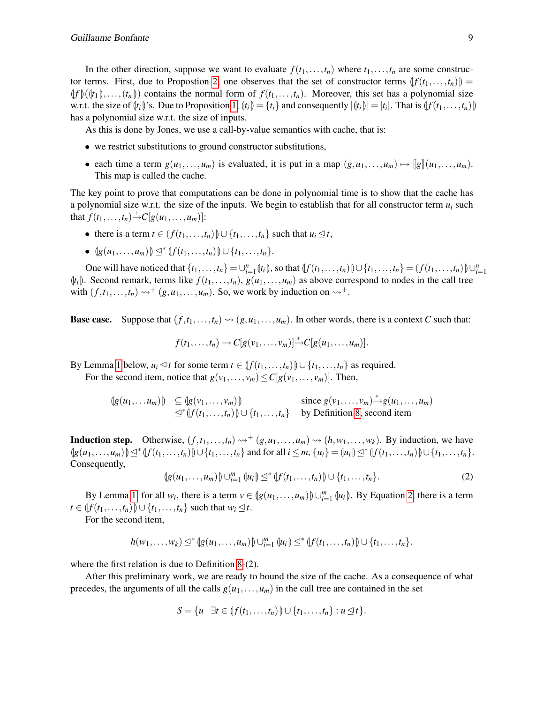In the other direction, suppose we want to evaluate  $f(t_1,...,t_n)$  where  $t_1,...,t_n$  are some construc-tor terms. First, due to Propostion [2,](#page-6-2) one observes that the set of constructor terms  $(f(t_1,...,t_n))$  $\langle f \rangle(\langle t_1 \rangle, \ldots, \langle t_n \rangle)$  contains the normal form of  $f(t_1, \ldots, t_n)$ . Moreover, this set has a polynomial size w.r.t. the size of  $(\ell_i)$ 's. Due to Proposition [1,](#page-6-0)  $(\ell_i) = \{t_i\}$  and consequently  $|\langle t_i \rangle| = |t_i|$ . That is  $\langle f(t_1, \ldots, t_n) \rangle$ has a polynomial size w.r.t. the size of inputs.

As this is done by Jones, we use a call-by-value semantics with cache, that is:

- we restrict substitutions to ground constructor substitutions,
- each time a term  $g(u_1,...,u_m)$  is evaluated, it is put in a map  $(g, u_1,...,u_m) \mapsto [g](u_1,...,u_m)$ . This map is called the cache.

The key point to prove that computations can be done in polynomial time is to show that the cache has a polynomial size w.r.t. the size of the inputs. We begin to establish that for all constructor term  $u_i$  such that  $f(t_1,...,t_n) \to C[g(u_1,...,u_m)]$ :

- there is a term  $t \in \{f(t_1, \ldots, t_n) \} \cup \{t_1, \ldots, t_n\}$  such that  $u_i \leq t$ ,
- $\{g(u_1,...,u_m)\}\leq^* \{f(t_1,...,t_n)\}\cup \{t_1,...,t_n\}.$

One will have noticed that  $\{t_1,\ldots,t_n\} = \bigcup_{i=1}^n \{t_i\}$ , so that  $\{f(t_1,\ldots,t_n)\} \cup \{t_1,\ldots,t_n\} = \{f(t_1,\ldots,t_n)\} \cup \{t_1,\ldots,t_n\}$  $\langle t_i \rangle$ . Second remark, terms like  $f(t_1,...,t_n)$ ,  $g(u_1,...,u_m)$  as above correspond to nodes in the call tree with  $(f, t_1, \ldots, t_n) \rightsquigarrow^+ (g, u_1, \ldots, u_m)$ . So, we work by induction on  $\rightsquigarrow^+$ .

**Base case.** Suppose that  $(f, t_1, \ldots, t_n) \rightsquigarrow (g, u_1, \ldots, u_m)$ . In other words, there is a context *C* such that:

$$
f(t_1,\ldots,t_n)\to C[g(v_1,\ldots,v_m)]\overset{*}{\to}C[g(u_1,\ldots,u_m)].
$$

By Lemma [1](#page-10-0) below,  $u_i \leq t$  for some term  $t \in \left(\int f(t_1,\ldots,t_n)\right) \cup \{t_1,\ldots,t_n\}$  as required.

For the second item, notice that  $g(v_1,...,v_m) \leq C[g(v_1,...,v_m)]$ . Then,

$$
\begin{array}{ll}\n\left(g(u_1,\ldots u_m)\right) & \subseteq \left(g(v_1,\ldots,v_m)\right) & \text{since } g(v_1,\ldots,v_m) \stackrel{*}{\rightarrow} g(u_1,\ldots,u_m) \\
\leq^* \left(f(t_1,\ldots,t_n)\right) \cup \{t_1,\ldots,t_n\} & \text{by Definition 8, second item}\n\end{array}
$$

**Induction step.** Otherwise,  $(f, t_1, \ldots, t_n) \rightarrow^{+} (g, u_1, \ldots, u_m) \rightarrow^{+} (h, w_1, \ldots, w_k)$ . By induction, we have  $\{g(u_1,...,u_m)\}\subseteq^* \{f(t_1,...,t_n)\}\cup \{t_1,...,t_n\}$  and for all  $i\leq m$ ,  $\{u_i\}=\{u_i\}\subseteq^* \{f(t_1,...,t_n)\}\cup \{t_1,...,t_n\}$ . Consequently,

<span id="page-9-0"></span>
$$
(\lg(u_1,\ldots,u_m))\cup_{i=1}^m(\mu_i)\leq^*(\ f(t_1,\ldots,t_n))\cup\{t_1,\ldots,t_n\}.
$$
 (2)

By Lemma [1,](#page-10-0) for all  $w_i$ , there is a term  $v \in (g(u_1, \ldots, u_m)) \cup_{i=1}^m (u_i)$ . By Equation [2,](#page-9-0) there is a term *t* ∈  $\{f(t_1, \ldots, t_n)\} \cup \{t_1, \ldots, t_n\}$  such that  $w_i \leq t$ .

For the second item,

$$
h(w_1,...,w_k) \leq^* (g(u_1,...,u_m)) \cup_{i=1}^m (u_i) \leq^* (f(t_1,...,t_n)) \cup \{t_1,...,t_n\}.
$$

where the first relation is due to Definition [8-](#page-6-1)(2).

After this preliminary work, we are ready to bound the size of the cache. As a consequence of what precedes, the arguments of all the calls  $g(u_1,...,u_m)$  in the call tree are contained in the set

$$
S = \{u \mid \exists t \in \langle f(t_1,\ldots,t_n) \rangle \cup \{t_1,\ldots,t_n\} : u \leq t\}.
$$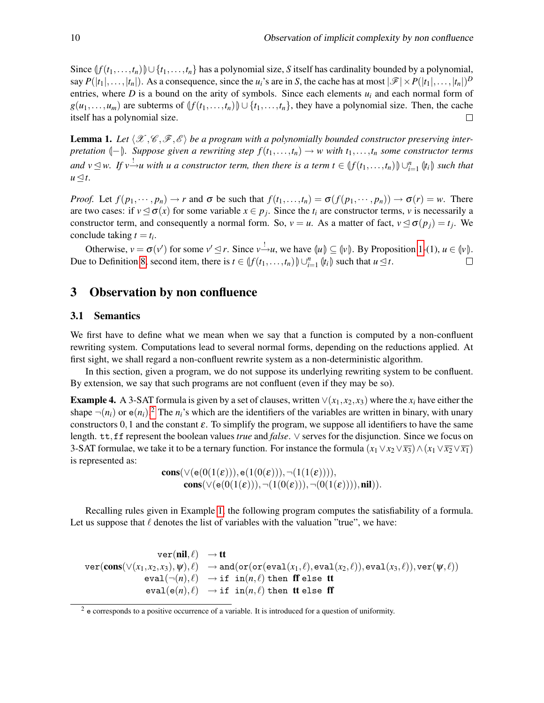Since  $\{f(t_1,\ldots,t_n)\}\cup\{t_1,\ldots,t_n\}$  has a polynomial size, *S* itself has cardinality bounded by a polynomial, say  $P(|t_1|, \ldots, |t_n|)$ . As a consequence, since the  $u_i$ 's are in *S*, the cache has at most  $|\mathscr{F}| \times P(|t_1|, \ldots, |t_n|)^D$ entries, where  $D$  is a bound on the arity of symbols. Since each elements  $u_i$  and each normal form of *g*(*u*<sub>1</sub>,...,*u*<sub>*m*</sub>) are subterms of  $\{f(t_1,...,t_n)\} ∪ \{t_1,...,t_n\}$ , they have a polynomial size. Then, the cache itself has a polynomial size.  $\Box$ 

<span id="page-10-0"></span>**Lemma 1.** Let  $\langle \mathcal{X}, \mathcal{C}, \mathcal{F}, \mathcal{E} \rangle$  be a program with a polynomially bounded constructor preserving inter*pretation*  $\langle -\rangle$ *. Suppose given a rewriting step*  $f(t_1,...,t_n) \to w$  *with*  $t_1,...,t_n$  *some constructor terms and*  $v$  ⊴ *w. If*  $v$   $\frac{1}{v}$ *u with u a constructor term, then there is a term*  $t \in (f(t_1,...,t_n)) \cup_{i=1}^n (t_i)$  *such that*  $u \triangleleft t$ .

*Proof.* Let  $f(p_1, \dots, p_n) \to r$  and  $\sigma$  be such that  $f(t_1, \dots, t_n) = \sigma(f(p_1, \dots, p_n)) \to \sigma(r) = w$ . There are two cases: if  $v \le \sigma(x)$  for some variable  $x \in p_j$ . Since the  $t_i$  are constructor terms, *v* is necessarily a constructor term, and consequently a normal form. So,  $v = u$ . As a matter of fact,  $v \le \sigma(p_j) = t_j$ . We conclude taking  $t = t_i$ .

Otherwise,  $v = \sigma(v')$  for some  $v' \leq r$ . Since  $v \to u$ , we have  $\langle u \rangle \subseteq \langle v \rangle$ . By Proposition [1-](#page-6-0)(1),  $u \in \langle v \rangle$ . Due to Definition [8,](#page-6-1) second item, there is  $t \in (f(t_1,...,t_n)) \cup_{i=1}^n (t_i)$  such that  $u \leq t$ .  $\Box$ 

## 3 Observation by non confluence

#### 3.1 Semantics

We first have to define what we mean when we say that a function is computed by a non-confluent rewriting system. Computations lead to several normal forms, depending on the reductions applied. At first sight, we shall regard a non-confluent rewrite system as a non-deterministic algorithm.

In this section, given a program, we do not suppose its underlying rewriting system to be confluent. By extension, we say that such programs are not confluent (even if they may be so).

**Example 4.** A 3-SAT formula is given by a set of clauses, written  $\vee$ ( $x_1, x_2, x_3$ ) where the  $x_i$  have either the shape  $\neg(n_i)$  or  $e(n_i)$ .<sup>[2](#page-10-1)</sup> The  $n_i$ 's which are the identifiers of the variables are written in binary, with unary constructors  $0,1$  and the constant  $\varepsilon$ . To simplify the program, we suppose all identifiers to have the same length. tt,ff represent the boolean values *true* and *false*. ∨ serves for the disjunction. Since we focus on 3-SAT formulae, we take it to be a ternary function. For instance the formula  $(x_1 \vee x_2 \vee \overline{x_3}) \wedge (x_1 \vee \overline{x_2} \vee \overline{x_1})$ is represented as:

> cons( $\vee$ (e(0(1(ε))),e(1(0(ε))), $\neg$ (1(1(ε)))), cons( $\vee$ (e(0(1(ε))),¬(1(0(ε))),¬(0(1(ε)))),nil)).

Recalling rules given in Example [1,](#page-4-1) the following program computes the satisfiability of a formula. Let us suppose that  $\ell$  denotes the list of variables with the valuation "true", we have:

 $ver(nil, l) \rightarrow tt$  $\text{ver}(\textbf{cons}(\vee(x_1,x_2,x_3),\psi),\ell) \rightarrow \text{and}(\text{or}(\text{eval}(x_1,\ell),\text{eval}(x_2,\ell)),\text{eval}(x_3,\ell)),\text{ver}(\psi,\ell))$  $eval(\neg(n), \ell) \rightarrow \text{if } \text{in}(n, \ell) \text{ then } \text{ff} \text{ else } \text{tt}$  $eval(e(n), \ell) \rightarrow if \; in(n, \ell) \text{ then }$  it else ff

<span id="page-10-1"></span> $2$  e corresponds to a positive occurrence of a variable. It is introduced for a question of uniformity.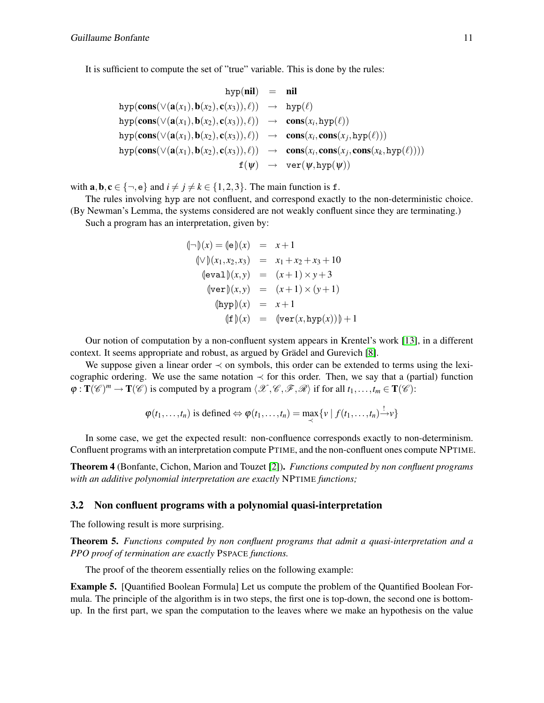It is sufficient to compute the set of "true" variable. This is done by the rules:

$$
\begin{array}{rcl}\n\text{hyp}(\textbf{cons}(\vee(\textbf{a}(x_1),\textbf{b}(x_2),\textbf{c}(x_3)),\ell)) & = & \textbf{nil} \\
\text{hyp}(\textbf{cons}(\vee(\textbf{a}(x_1),\textbf{b}(x_2),\textbf{c}(x_3)),\ell)) & \to & \text{hyp}(\ell) \\
\text{hyp}(\textbf{cons}(\vee(\textbf{a}(x_1),\textbf{b}(x_2),\textbf{c}(x_3)),\ell)) & \to & \textbf{cons}(x_i,\text{hyp}(\ell)) \\
\text{hyp}(\textbf{cons}(\vee(\textbf{a}(x_1),\textbf{b}(x_2),\textbf{c}(x_3)),\ell)) & \to & \textbf{cons}(x_i,\textbf{cons}(x_j,\textbf{hyp}(\ell))) \\
\text{hyp}(\textbf{cons}(\vee(\textbf{a}(x_1),\textbf{b}(x_2),\textbf{c}(x_3)),\ell)) & \to & \textbf{cons}(x_i,\textbf{cons}(x_j,\textbf{cons}(x_k,\textbf{hyp}(\ell)))) \\
&\quad \text{f}(\psi) & \to & \text{ver}(\psi,\textbf{hyp}(\psi))\n\end{array}
$$

with  $\mathbf{a}, \mathbf{b}, \mathbf{c} \in \{\neg, \mathbf{e}\}$  and  $i \neq j \neq k \in \{1, 2, 3\}$ . The main function is f.

The rules involving hyp are not confluent, and correspond exactly to the non-deterministic choice.

(By Newman's Lemma, the systems considered are not weakly confluent since they are terminating.) Such a program has an interpretation, given by:

$$
\begin{aligned}\n(\neg)(x) &= (\neg)(x) = x + 1 \\
(\vee)(x_1, x_2, x_3) &= x_1 + x_2 + x_3 + 10 \\
(\neg\n\text{eval})(x, y) &= (x + 1) \times y + 3 \\
(\neg\n\text{ver})(x, y) &= (x + 1) \times (y + 1) \\
(\text{hyp})(x) &= x + 1 \\
(\neg\n\text{f})(x) &= (\text{ver}(x, \text{hyp}(x))) + 1\n\end{aligned}
$$

Our notion of computation by a non-confluent system appears in Krentel's work [\[13\]](#page-15-15), in a different context. It seems appropriate and robust, as argued by Grädel and Gurevich [\[8\]](#page-15-16).

We suppose given a linear order  $\prec$  on symbols, this order can be extended to terms using the lexicographic ordering. We use the same notation  $\prec$  for this order. Then, we say that a (partial) function  $\varphi$ :  $\mathbf{T}(\mathscr{C})^m \to \mathbf{T}(\mathscr{C})$  is computed by a program  $\langle \mathscr{X}, \mathscr{C}, \mathscr{F}, \mathscr{R} \rangle$  if for all  $t_1, \ldots, t_m \in \mathbf{T}(\mathscr{C})$ :

$$
\varphi(t_1,\ldots,t_n)
$$
 is defined  $\Leftrightarrow \varphi(t_1,\ldots,t_n) = \max_{\prec} \{v \mid f(t_1,\ldots,t_n) \xrightarrow{!} v\}$ 

In some case, we get the expected result: non-confluence corresponds exactly to non-determinism. Confluent programs with an interpretation compute PTIME, and the non-confluent ones compute NPTIME.

Theorem 4 (Bonfante, Cichon, Marion and Touzet [\[2\]](#page-15-1)). *Functions computed by non confluent programs with an additive polynomial interpretation are exactly* NPTIME *functions;*

#### 3.2 Non confluent programs with a polynomial quasi-interpretation

The following result is more surprising.

<span id="page-11-0"></span>Theorem 5. *Functions computed by non confluent programs that admit a quasi-interpretation and a PPO proof of termination are exactly* PSPACE *functions.*

The proof of the theorem essentially relies on the following example:

<span id="page-11-1"></span>Example 5. [Quantified Boolean Formula] Let us compute the problem of the Quantified Boolean Formula. The principle of the algorithm is in two steps, the first one is top-down, the second one is bottomup. In the first part, we span the computation to the leaves where we make an hypothesis on the value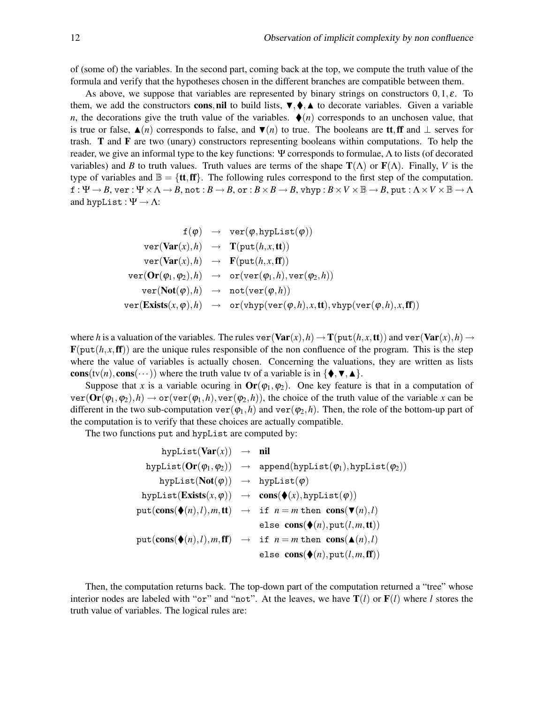of (some of) the variables. In the second part, coming back at the top, we compute the truth value of the formula and verify that the hypotheses chosen in the different branches are compatible between them.

As above, we suppose that variables are represented by binary strings on constructors  $0, 1, \varepsilon$ . To them, we add the constructors cons,nil to build lists,  $\nabla, \blacklozenge, \blacktriangle$  to decorate variables. Given a variable *n*, the decorations give the truth value of the variables.  $\blacklozenge(n)$  corresponds to an unchosen value, that is true or false,  $\blacktriangle(n)$  corresponds to false, and  $\P(n)$  to true. The booleans are **tt**, ff and ⊥ serves for trash. T and F are two (unary) constructors representing booleans within computations. To help the reader, we give an informal type to the key functions: Ψ corresponds to formulae, Λ to lists (of decorated variables) and *B* to truth values. Truth values are terms of the shape  $\mathbf{T}(\Lambda)$  or  $\mathbf{F}(\Lambda)$ . Finally, *V* is the type of variables and  $\mathbb{B} = {\textbf{t}, \textbf{f}\textbf{f}}$ . The following rules correspond to the first step of the computation.  $f: \Psi \to B$ ,  $\forall$ er :  $\Psi \times \Lambda \to B$ , not :  $B \to B$ , or :  $B \times B \to B$ ,  $\forall$ hyp :  $B \times V \times \mathbb{B} \to B$ ,  $\forall$ ut :  $\Lambda \times V \times \mathbb{B} \to \Lambda$ and hypList :  $\Psi \to \Lambda$ :

$$
\begin{array}{lcl} \mathbf{f}(\varphi) & \rightarrow & \text{ver}(\varphi, \text{hypList}(\varphi)) \\[1mm] & \text{ver}(\textbf{Var}(x), h) & \rightarrow & \textbf{T}(\text{put}(h, x, \textbf{tt})) \\[1mm] & \text{ver}(\textbf{Var}(x), h) & \rightarrow & \textbf{F}(\text{put}(h, x, \textbf{ff})) \\[1mm] & \text{ver}(\textbf{Or}(\varphi_1, \varphi_2), h) & \rightarrow & \text{or}(\text{ver}(\varphi_1, h), \text{ver}(\varphi_2, h)) \\[1mm] & \text{ver}(\textbf{Not}(\varphi), h) & \rightarrow & \text{not}(\text{ver}(\varphi, h)) \\[1mm] & \text{ver}(\textbf{Exists}(x, \varphi), h) & \rightarrow & \text{or}(\text{vhyp}(\text{ver}(\varphi, h), x, \textbf{tt}), \text{vhyp}(\text{ver}(\varphi, h), x, \textbf{ff})) \end{array}
$$

where *h* is a valuation of the variables. The rules ver  $(Var(x), h) \rightarrow T(put(h, x, tt))$  and ver $(Var(x), h) \rightarrow$  $\mathbf{F}(\text{put}(h, x, \text{ff}))$  are the unique rules responsible of the non confluence of the program. This is the step where the value of variables is actually chosen. Concerning the valuations, they are written as lists cons(tv(*n*), cons( $\cdots$ )) where the truth value tv of a variable is in { $\{\blacklozenge, \blacktriangledown, \blacktriangle\}$ .

Suppose that *x* is a variable ocuring in  $\text{Or}(\varphi_1, \varphi_2)$ . One key feature is that in a computation of  $\text{ver}(\textbf{Or}(\varphi_1,\varphi_2),h) \to \text{or}(\text{ver}(\varphi_1,h),\text{ver}(\varphi_2,h))$ , the choice of the truth value of the variable *x* can be different in the two sub-computation  $ver(\varphi_1, h)$  and  $ver(\varphi_2, h)$ . Then, the role of the bottom-up part of the computation is to verify that these choices are actually compatible.

The two functions put and hypList are computed by:

$$
\begin{array}{rcl} \text{hypList}(\textbf{Var}(x)) & \to & \textbf{nil} \\ \text{hypList}(\textbf{Or}(\varphi_1, \varphi_2)) & \to & \text{append}(\text{hypList}(\varphi_1), \text{hypList}(\varphi_2)) \\ \text{hypList}(\textbf{Not}(\varphi)) & \to & \text{hypList}(\varphi) \\ \text{hypList}(\textbf{Exist}(x, \varphi)) & \to & \textbf{cons}(\blacklozenge(x), \text{hypList}(\varphi)) \\ \text{put}(\textbf{cons}(\blacklozenge(n), l), m, \textbf{tt}) & \to & \text{if } n = m \text{ then } \textbf{cons}(\blacktriangledown(n), l) \\ \text{else } \textbf{cons}(\blacklozenge(n), \text{put}(l, m, \textbf{tt})) \\ \text{put}(\textbf{cons}(\blacklozenge(n), l), m, \textbf{ff}) & \to & \text{if } n = m \text{ then } \textbf{cons}(\blacktriangle(n), l) \\ \text{else } \textbf{cons}(\blacklozenge(n), \text{put}(l, m, \textbf{ff})) \\ \end{array}
$$

Then, the computation returns back. The top-down part of the computation returned a "tree" whose interior nodes are labeled with "or" and "not". At the leaves, we have  $T(l)$  or  $F(l)$  where *l* stores the truth value of variables. The logical rules are: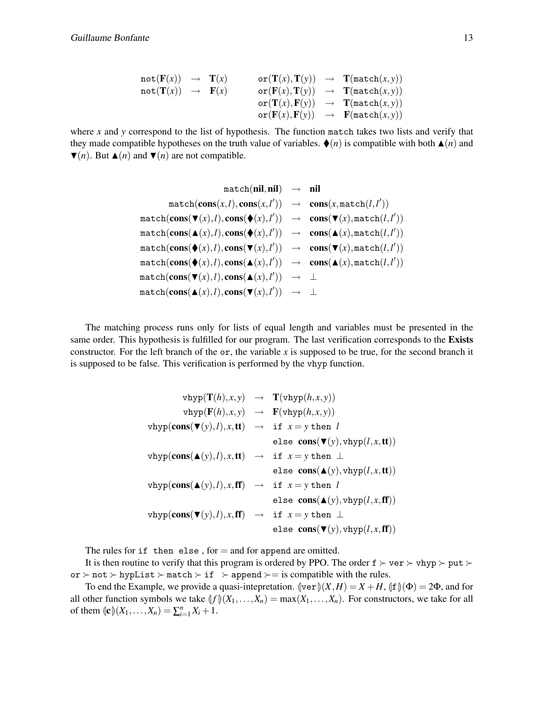$$
\begin{array}{lcl} \texttt{not}(\mathbf{F}(x)) & \to & \mathbf{T}(x) \\ \texttt{not}(\mathbf{T}(x)) & \to & \mathbf{F}(x) \\ \texttt{not}(\mathbf{T}(x)) & \to & \mathbf{F}(x) \\ \texttt{or}(\mathbf{F}(x),\mathbf{T}(y)) & \to & \mathbf{T}(\texttt{match}(x,y)) \\ \texttt{or}(\mathbf{T}(x),\mathbf{F}(y)) & \to & \mathbf{T}(\texttt{match}(x,y)) \\ \texttt{or}(\mathbf{F}(x),\mathbf{F}(y)) & \to & \mathbf{F}(\texttt{match}(x,y)) \\ \end{array}
$$

where *x* and *y* correspond to the list of hypothesis. The function match takes two lists and verify that they made compatible hypotheses on the truth value of variables.  $\blacklozenge(n)$  is compatible with both  $\blacktriangle(n)$  and  $\Psi(n)$ . But  $\blacktriangle(n)$  and  $\Psi(n)$  are not compatible.

$$
\begin{array}{rcl} \mathrm{match}(\mathrm{\textbf{nil}},\mathrm{\textbf{nil}})&\to &\mathrm{\textbf{nil}}\\ \mathrm{match}(\mathrm{\textbf{cons}}(x,l),\mathrm{\textbf{cons}}(x,l'))&\to&\mathrm{\textbf{cons}}(x,\mathrm{\textbf{match}}(l,l'))\\ \mathrm{\textbf{match}}(\mathrm{\textbf{cons}}(\mathbf{\blacktriangledown}(x),l),\mathrm{\textbf{cons}}(\mathbf{\blacktriangle}(x),l'))&\to&\mathrm{\textbf{cons}}(\mathbf{\blacktriangledown}(x),\mathrm{\textbf{match}}(l,l'))\\ \mathrm{\textbf{match}}(\mathrm{\textbf{cons}}(\mathbf{\blacktriangle}(x),l),\mathrm{\textbf{cons}}(\mathbf{\blacktriangle}(x),l'))&\to&\mathrm{\textbf{cons}}(\mathbf{\blacktriangle}(x),\mathrm{\textbf{match}}(l,l'))\\ \mathrm{\textbf{match}}(\mathrm{\textbf{cons}}(\mathbf{\blacktriangle}(x),l),\mathrm{\textbf{cons}}(\mathbf{\blacktriangledown}(x),l'))&\to&\mathrm{\textbf{cons}}(\mathbf{\blacktriangledown}(x),\mathrm{\textbf{match}}(l,l'))\\ \mathrm{\textbf{match}}(\mathrm{\textbf{cons}}(\mathbf{\blacktriangle}(x),l),\mathrm{\textbf{cons}}(\mathbf{\blacktriangle}(x),l'))&\to&\mathrm{\textbf{cons}}(\mathbf{\blacktriangle}(x),\mathrm{\textbf{match}}(l,l'))\\ \mathrm{\textbf{match}}(\mathrm{\textbf{cons}}(\mathbf{\blacktriangledown}(x),l),\mathrm{\textbf{cons}}(\mathbf{\blacktriangle}(x),l'))&\to&\bot\\ \mathrm{\textbf{match}}(\mathrm{\textbf{cons}}(\mathbf{\blacktriangle}(x),l),\mathrm{\textbf{cons}}(\mathbf{\blacktriangledown}(x),l'))&\to&\bot \end{array}
$$

The matching process runs only for lists of equal length and variables must be presented in the same order. This hypothesis is fulfilled for our program. The last verification corresponds to the Exists constructor. For the left branch of the or, the variable *x* is supposed to be true, for the second branch it is supposed to be false. This verification is performed by the vhyp function.

| $vhyp(T(h),x,y) \rightarrow T(vhyp(h,x,y))$                                                                 |                                                 |
|-------------------------------------------------------------------------------------------------------------|-------------------------------------------------|
| $vhyp(F(h), x, y) \rightarrow F(vhyp(h, x, y))$                                                             |                                                 |
| $vhyp(\text{cons}(\mathbf{v}(y), l), x, \text{tt}) \rightarrow \text{if } x = y \text{ then } l$            |                                                 |
|                                                                                                             | else $cons(\blacktriangledown(y),vhyp(l,x,tt))$ |
| $vhyp(\mathbf{cons}(\blacktriangle(y),l),x,\mathbf{tt}) \rightarrow \text{if } x = y \text{ then } \bot$    |                                                 |
|                                                                                                             | else $cons(\blacktriangle(y),vhyp(l,x,tt))$     |
| $vhyp(\mathbf{cons}(\blacktriangle(y),l),x,\mathbf{ff}) \rightarrow \text{if } x=y \text{ then } l$         |                                                 |
|                                                                                                             | else $cons(A(y),vhyp(l,x,ff))$                  |
| $vhyp(\textbf{cons}(\blacktriangledown(y),l),x,\textbf{ff}) \rightarrow \text{if } x=y \text{ then } \perp$ |                                                 |
|                                                                                                             | else $cons(\blacktriangledown(y),vhyp(l,x,ff))$ |

The rules for  $if$  then else, for  $=$  and for append are omitted.

It is then routine to verify that this program is ordered by PPO. The order  $f \succ \text{ver} \succ \text{vhyp} \succ \text{put} \succ$ or ≻ not ≻ hypList ≻ match ≻ if ≻ append ≻= is compatible with the rules.

To end the Example, we provide a quasi-intepretation.  $\|\text{ver}\|(X,H) = X + H$ ,  $\|\text{f}\|(\Phi) = 2\Phi$ , and for all other function symbols we take  $\{f\}(X_1,\ldots,X_n) = \max(X_1,\ldots,X_n)$ . For constructors, we take for all of them  $\oint_C (X_1, \ldots, X_n) = \sum_{i=1}^n X_i + 1.$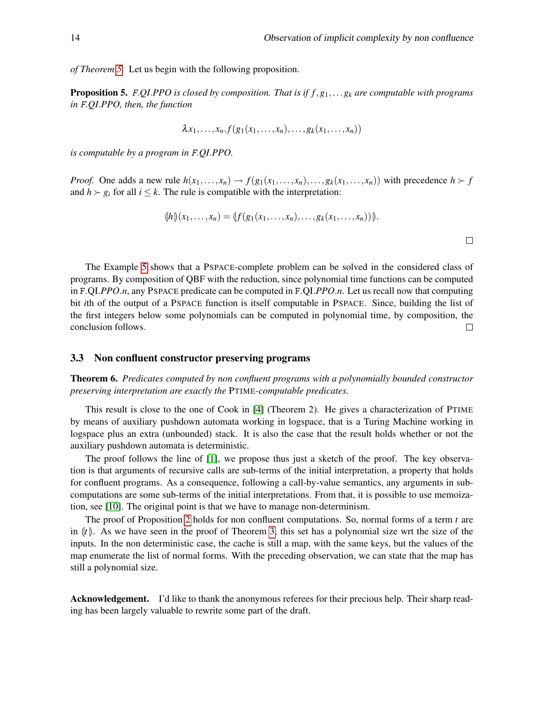$\Box$ 

*of Theorem [5.](#page-11-0)* Let us begin with the following proposition.

Proposition 5. F.*QI*.*PPO is closed by composition. That is if f*,*g*1,...*g<sup>k</sup> are computable with programs in* F.*QI*.*PPO, then, the function*

$$
\lambda x_1, \ldots, x_n \cdot f(g_1(x_1, \ldots, x_n), \ldots, g_k(x_1, \ldots, x_n))
$$

*is computable by a program in* F.*QI*.*PPO.*

*Proof.* One adds a new rule  $h(x_1,...,x_n) \to f(g_1(x_1,...,x_n),...,g_k(x_1,...,x_n))$  with precedence  $h \succ f$ and  $h \succ g_i$  for all  $i \leq k$ . The rule is compatible with the interpretation:

$$
(\mathcal{h}) (x_1,\ldots,x_n) = (\mathcal{f}(g_1(x_1,\ldots,x_n),\ldots,g_k(x_1,\ldots,x_n)))
$$

The Example [5](#page-11-1) shows that a PSPACE-complete problem can be solved in the considered class of programs. By composition of QBF with the reduction, since polynomial time functions can be computed in F.QI.*PPO*.*n*, any PSPACE predicate can be computed in F.QI.*PPO*.*n*. Let us recall now that computing bit *i*th of the output of a PSPACE function is itself computable in PSPACE. Since, building the list of the first integers below some polynomials can be computed in polynomial time, by composition, the conclusion follows.  $\Box$ 

#### 3.3 Non confluent constructor preserving programs

Theorem 6. *Predicates computed by non confluent programs with a polynomially bounded constructor preserving interpretation are exactly the* PTIME*-computable predicates.*

This result is close to the one of Cook in [\[4\]](#page-15-17) (Theorem 2). He gives a characterization of PTIME by means of auxiliary pushdown automata working in logspace, that is a Turing Machine working in logspace plus an extra (unbounded) stack. It is also the case that the result holds whether or not the auxiliary pushdown automata is deterministic.

The proof follows the line of [\[1\]](#page-15-18), we propose thus just a sketch of the proof. The key observation is that arguments of recursive calls are sub-terms of the initial interpretation, a property that holds for confluent programs. As a consequence, following a call-by-value semantics, any arguments in subcomputations are some sub-terms of the initial interpretations. From that, it is possible to use memoization, see [\[10\]](#page-15-19). The original point is that we have to manage non-determinism.

The proof of Proposition [2](#page-6-2) holds for non confluent computations. So, normal forms of a term *t* are in  $\lbrack t \rbrack$ . As we have seen in the proof of Theorem [3,](#page-8-0) this set has a polynomial size wrt the size of the inputs. In the non deterministic case, the cache is still a map, with the same keys, but the values of the map enumerate the list of normal forms. With the preceding observation, we can state that the map has still a polynomial size.

Acknowledgement. I'd like to thank the anonymous referees for their precious help. Their sharp reading has been largely valuable to rewrite some part of the draft.